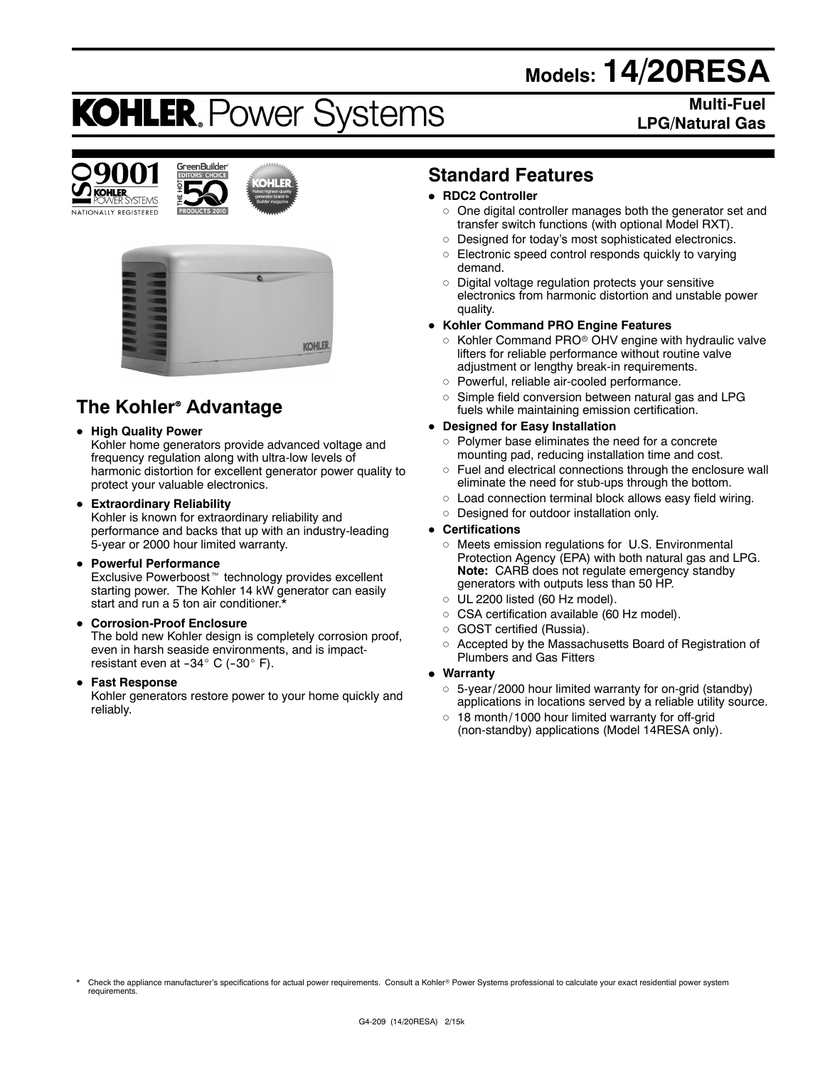# **Models: 14/20RESA**

# **KOHLER. Power Systems**

**Multi-Fuel LPG/Natural Gas**







# **The Kohler<sup>®</sup> Advantage**

## **• High Quality Power**

Kohler home generators provide advanced voltage and frequency regulation along with ultra-low levels of harmonic distortion for excellent generator power quality to protect your valuable electronics.

#### **• Extraordinary Reliability**

Kohler is known for extraordinary reliability and performance and backs that up with an industry-leading 5-year or 2000 hour limited warranty.

#### **• Powerful Performance**

Exclusive Powerboost<sup>™</sup> technology provides excellent starting power. The Kohler 14 kW generator can easily start and run a 5 ton air conditioner.\*

#### **• Corrosion-Proof Enclosure**

The bold new Kohler design is completely corrosion proof, even in harsh seaside environments, and is impactresistant even at  $-34^\circ$  C ( $-30^\circ$  F).

#### **• Fast Response**

Kohler generators restore power to your home quickly and reliably.

# **Standard Features**

## **• RDC2 Controller**

- $\circ$  One digital controller manages both the generator set and transfer switch functions (with optional Model RXT).
- o Designed for today's most sophisticated electronics.
- $\circ$  Electronic speed control responds quickly to varying demand.
- $\circ$  Digital voltage regulation protects your sensitive electronics from harmonic distortion and unstable power quality.

## **• Kohler Command PRO Engine Features**

- $\circ$  Kohler Command PRO $\circ$  OHV engine with hydraulic valve lifters for reliable performance without routine valve adjustment or lengthy break-in requirements.
- o Powerful, reliable air-cooled performance.
- $\circ$  Simple field conversion between natural gas and LPG fuels while maintaining emission certification.

## **• Designed for Easy Installation**

- $\circ$  Polymer base eliminates the need for a concrete mounting pad, reducing installation time and cost.
- $\circ$  Fuel and electrical connections through the enclosure wall eliminate the need for stub-ups through the bottom.
- $\circ$  Load connection terminal block allows easy field wiring.
- o Designed for outdoor installation only.

#### **• Certifications**

- $\circ$  Meets emission regulations for U.S. Environmental Protection Agency (EPA) with both natural gas and LPG. **Note:** CARB does not regulate emergency standby generators with outputs less than 50 HP.
- $\circ$  UL 2200 listed (60 Hz model).
- o CSA certification available (60 Hz model).
- o GOST certified (Russia).
- o Accepted by the Massachusetts Board of Registration of Plumbers and Gas Fitters

#### $\bullet$  Warranty

- $\circ$  5-year/ 2000 hour limited warranty for on-grid (standby) applications in locations served by a reliable utility source.
- $\circ$  18 month/ 1000 hour limited warranty for off-grid (non-standby) applications (Model 14RESA only).

Check the appliance manufacturer's specifications for actual power requirements. Consult a Kohler® Power Systems professional to calculate your exact residential power system requirements.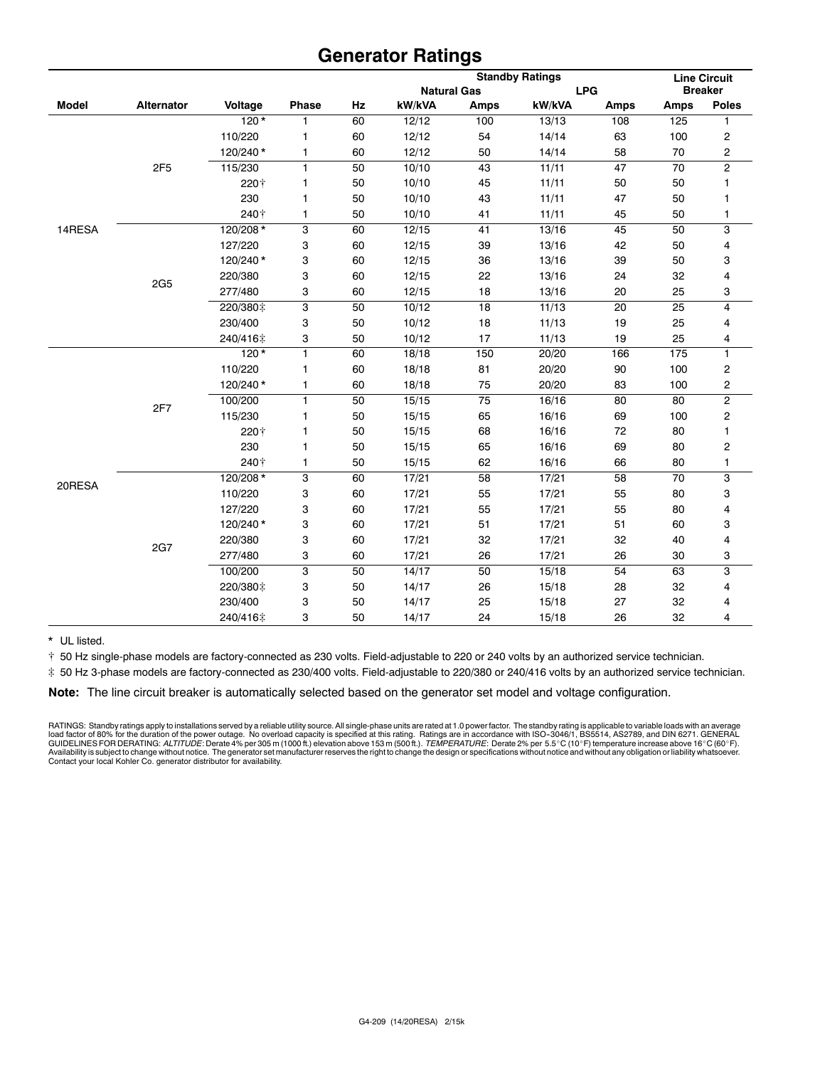# **Generator Ratings**

| <b>Breaker</b><br><b>LPG</b><br><b>Natural Gas</b><br>kW/kVA<br><b>Model</b><br><b>Alternator</b><br>Voltage<br>Phase<br>Hz<br>kW/kVA<br><b>Poles</b><br><b>Amps</b><br><b>Amps</b><br><b>Amps</b><br>$120*$<br>60<br>100<br>13/13<br>125<br>1<br>12/12<br>108<br>1<br>110/220<br>60<br>12/12<br>54<br>14/14<br>63<br>100<br>2<br>1<br>2<br>120/240*<br>60<br>12/12<br>50<br>14/14<br>58<br>70<br>$\mathbf{1}$<br>$\overline{\mathbf{c}}$<br>10/10<br>2F5<br>115/230<br>$\mathbf{1}$<br>50<br>43<br>11/11<br>47<br>70<br>50<br>10/10<br>45<br>11/11<br>220+<br>1<br>50<br>50<br>1<br>230<br>50<br>10/10<br>43<br>11/11<br>47<br>50<br>1<br>1<br>240+<br>50<br>10/10<br>41<br>11/11<br>45<br>50<br>1<br>1<br>120/208*<br>3<br>60<br>41<br>13/16<br>50<br>3<br>14RESA<br>12/15<br>45<br>12/15<br>39<br>13/16<br>127/220<br>3<br>60<br>42<br>50<br>4<br>120/240*<br>39<br>3<br>60<br>12/15<br>36<br>13/16<br>50<br>3<br>220/380<br>3<br>60<br>22<br>13/16<br>32<br>4<br>12/15<br>24<br><b>2G5</b><br>3<br>277/480<br>3<br>60<br>12/15<br>18<br>13/16<br>20<br>25<br>3<br>4<br>220/380‡<br>50<br>10/12<br>18<br>11/13<br>20<br>25<br>230/400<br>3<br>18<br>50<br>10/12<br>11/13<br>19<br>25<br>4<br>17<br>3<br>50<br>10/12<br>11/13<br>19<br>25<br>4<br>240/416‡<br>$120*$<br>1<br>60<br>18/18<br>150<br>20/20<br>175<br>1<br>166<br>81<br>110/220<br>60<br>18/18<br>20/20<br>90<br>100<br>2<br>1<br>2<br>120/240*<br>$\mathbf{1}$<br>60<br>18/18<br>75<br>20/20<br>83<br>100<br>$\overline{2}$<br>$\mathbf{1}$<br>100/200<br>50<br>15/15<br>75<br>16/16<br>80<br>80<br>2F7<br>115/230<br>50<br>15/15<br>65<br>16/16<br>69<br>2<br>1<br>100<br>68<br>220†<br>50<br>15/15<br>16/16<br>72<br>80<br>1<br>1<br>230<br>50<br>15/15<br>65<br>16/16<br>69<br>2<br>1<br>80<br>240+<br>1<br>50<br>15/15<br>62<br>16/16<br>66<br>80<br>1<br>120/208 *<br>3<br>58<br>3<br>60<br>17/21<br>17/21<br>58<br>70<br>20RESA<br>110/220<br>3<br>60<br>17/21<br>55<br>55<br>80<br>3<br>17/21<br>55<br>127/220<br>3<br>60<br>17/21<br>55<br>80<br>17/21<br>4<br>120/240*<br>3<br>51<br>51<br>3<br>60<br>17/21<br>17/21<br>60<br>4<br>220/380<br>3<br>60<br>17/21<br>32<br>17/21<br>32<br>40<br><b>2G7</b><br>3<br>26<br>3<br>277/480<br>60<br>17/21<br>17/21<br>26<br>30<br>3<br>50<br>3<br>100/200<br>50<br>14/17<br>15/18<br>54<br>63<br>220/380‡<br>3<br>50<br>14/17<br>26<br>15/18<br>28<br>32<br>4<br>25<br>230/400<br>3<br>50<br>14/17<br>15/18<br>27<br>32<br>4<br>24<br>240/416‡<br>3<br>50<br>14/17<br>15/18<br>26<br>32<br>4 |  |  |  | <b>Standby Ratings</b> |  |  |  | <b>Line Circuit</b> |  |
|---------------------------------------------------------------------------------------------------------------------------------------------------------------------------------------------------------------------------------------------------------------------------------------------------------------------------------------------------------------------------------------------------------------------------------------------------------------------------------------------------------------------------------------------------------------------------------------------------------------------------------------------------------------------------------------------------------------------------------------------------------------------------------------------------------------------------------------------------------------------------------------------------------------------------------------------------------------------------------------------------------------------------------------------------------------------------------------------------------------------------------------------------------------------------------------------------------------------------------------------------------------------------------------------------------------------------------------------------------------------------------------------------------------------------------------------------------------------------------------------------------------------------------------------------------------------------------------------------------------------------------------------------------------------------------------------------------------------------------------------------------------------------------------------------------------------------------------------------------------------------------------------------------------------------------------------------------------------------------------------------------------------------------------------------------------------------------------------------------------------------------------------------------------------------------------------------------------------------------------------------------------------------------------------------------------------------------------------------------------------------------------------------------------------------------------------------------------------------------------------------------------|--|--|--|------------------------|--|--|--|---------------------|--|
|                                                                                                                                                                                                                                                                                                                                                                                                                                                                                                                                                                                                                                                                                                                                                                                                                                                                                                                                                                                                                                                                                                                                                                                                                                                                                                                                                                                                                                                                                                                                                                                                                                                                                                                                                                                                                                                                                                                                                                                                                                                                                                                                                                                                                                                                                                                                                                                                                                                                                                               |  |  |  |                        |  |  |  |                     |  |
|                                                                                                                                                                                                                                                                                                                                                                                                                                                                                                                                                                                                                                                                                                                                                                                                                                                                                                                                                                                                                                                                                                                                                                                                                                                                                                                                                                                                                                                                                                                                                                                                                                                                                                                                                                                                                                                                                                                                                                                                                                                                                                                                                                                                                                                                                                                                                                                                                                                                                                               |  |  |  |                        |  |  |  |                     |  |
|                                                                                                                                                                                                                                                                                                                                                                                                                                                                                                                                                                                                                                                                                                                                                                                                                                                                                                                                                                                                                                                                                                                                                                                                                                                                                                                                                                                                                                                                                                                                                                                                                                                                                                                                                                                                                                                                                                                                                                                                                                                                                                                                                                                                                                                                                                                                                                                                                                                                                                               |  |  |  |                        |  |  |  |                     |  |
|                                                                                                                                                                                                                                                                                                                                                                                                                                                                                                                                                                                                                                                                                                                                                                                                                                                                                                                                                                                                                                                                                                                                                                                                                                                                                                                                                                                                                                                                                                                                                                                                                                                                                                                                                                                                                                                                                                                                                                                                                                                                                                                                                                                                                                                                                                                                                                                                                                                                                                               |  |  |  |                        |  |  |  |                     |  |
|                                                                                                                                                                                                                                                                                                                                                                                                                                                                                                                                                                                                                                                                                                                                                                                                                                                                                                                                                                                                                                                                                                                                                                                                                                                                                                                                                                                                                                                                                                                                                                                                                                                                                                                                                                                                                                                                                                                                                                                                                                                                                                                                                                                                                                                                                                                                                                                                                                                                                                               |  |  |  |                        |  |  |  |                     |  |
|                                                                                                                                                                                                                                                                                                                                                                                                                                                                                                                                                                                                                                                                                                                                                                                                                                                                                                                                                                                                                                                                                                                                                                                                                                                                                                                                                                                                                                                                                                                                                                                                                                                                                                                                                                                                                                                                                                                                                                                                                                                                                                                                                                                                                                                                                                                                                                                                                                                                                                               |  |  |  |                        |  |  |  |                     |  |
|                                                                                                                                                                                                                                                                                                                                                                                                                                                                                                                                                                                                                                                                                                                                                                                                                                                                                                                                                                                                                                                                                                                                                                                                                                                                                                                                                                                                                                                                                                                                                                                                                                                                                                                                                                                                                                                                                                                                                                                                                                                                                                                                                                                                                                                                                                                                                                                                                                                                                                               |  |  |  |                        |  |  |  |                     |  |
|                                                                                                                                                                                                                                                                                                                                                                                                                                                                                                                                                                                                                                                                                                                                                                                                                                                                                                                                                                                                                                                                                                                                                                                                                                                                                                                                                                                                                                                                                                                                                                                                                                                                                                                                                                                                                                                                                                                                                                                                                                                                                                                                                                                                                                                                                                                                                                                                                                                                                                               |  |  |  |                        |  |  |  |                     |  |
|                                                                                                                                                                                                                                                                                                                                                                                                                                                                                                                                                                                                                                                                                                                                                                                                                                                                                                                                                                                                                                                                                                                                                                                                                                                                                                                                                                                                                                                                                                                                                                                                                                                                                                                                                                                                                                                                                                                                                                                                                                                                                                                                                                                                                                                                                                                                                                                                                                                                                                               |  |  |  |                        |  |  |  |                     |  |
|                                                                                                                                                                                                                                                                                                                                                                                                                                                                                                                                                                                                                                                                                                                                                                                                                                                                                                                                                                                                                                                                                                                                                                                                                                                                                                                                                                                                                                                                                                                                                                                                                                                                                                                                                                                                                                                                                                                                                                                                                                                                                                                                                                                                                                                                                                                                                                                                                                                                                                               |  |  |  |                        |  |  |  |                     |  |
|                                                                                                                                                                                                                                                                                                                                                                                                                                                                                                                                                                                                                                                                                                                                                                                                                                                                                                                                                                                                                                                                                                                                                                                                                                                                                                                                                                                                                                                                                                                                                                                                                                                                                                                                                                                                                                                                                                                                                                                                                                                                                                                                                                                                                                                                                                                                                                                                                                                                                                               |  |  |  |                        |  |  |  |                     |  |
|                                                                                                                                                                                                                                                                                                                                                                                                                                                                                                                                                                                                                                                                                                                                                                                                                                                                                                                                                                                                                                                                                                                                                                                                                                                                                                                                                                                                                                                                                                                                                                                                                                                                                                                                                                                                                                                                                                                                                                                                                                                                                                                                                                                                                                                                                                                                                                                                                                                                                                               |  |  |  |                        |  |  |  |                     |  |
|                                                                                                                                                                                                                                                                                                                                                                                                                                                                                                                                                                                                                                                                                                                                                                                                                                                                                                                                                                                                                                                                                                                                                                                                                                                                                                                                                                                                                                                                                                                                                                                                                                                                                                                                                                                                                                                                                                                                                                                                                                                                                                                                                                                                                                                                                                                                                                                                                                                                                                               |  |  |  |                        |  |  |  |                     |  |
|                                                                                                                                                                                                                                                                                                                                                                                                                                                                                                                                                                                                                                                                                                                                                                                                                                                                                                                                                                                                                                                                                                                                                                                                                                                                                                                                                                                                                                                                                                                                                                                                                                                                                                                                                                                                                                                                                                                                                                                                                                                                                                                                                                                                                                                                                                                                                                                                                                                                                                               |  |  |  |                        |  |  |  |                     |  |
|                                                                                                                                                                                                                                                                                                                                                                                                                                                                                                                                                                                                                                                                                                                                                                                                                                                                                                                                                                                                                                                                                                                                                                                                                                                                                                                                                                                                                                                                                                                                                                                                                                                                                                                                                                                                                                                                                                                                                                                                                                                                                                                                                                                                                                                                                                                                                                                                                                                                                                               |  |  |  |                        |  |  |  |                     |  |
|                                                                                                                                                                                                                                                                                                                                                                                                                                                                                                                                                                                                                                                                                                                                                                                                                                                                                                                                                                                                                                                                                                                                                                                                                                                                                                                                                                                                                                                                                                                                                                                                                                                                                                                                                                                                                                                                                                                                                                                                                                                                                                                                                                                                                                                                                                                                                                                                                                                                                                               |  |  |  |                        |  |  |  |                     |  |
|                                                                                                                                                                                                                                                                                                                                                                                                                                                                                                                                                                                                                                                                                                                                                                                                                                                                                                                                                                                                                                                                                                                                                                                                                                                                                                                                                                                                                                                                                                                                                                                                                                                                                                                                                                                                                                                                                                                                                                                                                                                                                                                                                                                                                                                                                                                                                                                                                                                                                                               |  |  |  |                        |  |  |  |                     |  |
|                                                                                                                                                                                                                                                                                                                                                                                                                                                                                                                                                                                                                                                                                                                                                                                                                                                                                                                                                                                                                                                                                                                                                                                                                                                                                                                                                                                                                                                                                                                                                                                                                                                                                                                                                                                                                                                                                                                                                                                                                                                                                                                                                                                                                                                                                                                                                                                                                                                                                                               |  |  |  |                        |  |  |  |                     |  |
|                                                                                                                                                                                                                                                                                                                                                                                                                                                                                                                                                                                                                                                                                                                                                                                                                                                                                                                                                                                                                                                                                                                                                                                                                                                                                                                                                                                                                                                                                                                                                                                                                                                                                                                                                                                                                                                                                                                                                                                                                                                                                                                                                                                                                                                                                                                                                                                                                                                                                                               |  |  |  |                        |  |  |  |                     |  |
|                                                                                                                                                                                                                                                                                                                                                                                                                                                                                                                                                                                                                                                                                                                                                                                                                                                                                                                                                                                                                                                                                                                                                                                                                                                                                                                                                                                                                                                                                                                                                                                                                                                                                                                                                                                                                                                                                                                                                                                                                                                                                                                                                                                                                                                                                                                                                                                                                                                                                                               |  |  |  |                        |  |  |  |                     |  |
|                                                                                                                                                                                                                                                                                                                                                                                                                                                                                                                                                                                                                                                                                                                                                                                                                                                                                                                                                                                                                                                                                                                                                                                                                                                                                                                                                                                                                                                                                                                                                                                                                                                                                                                                                                                                                                                                                                                                                                                                                                                                                                                                                                                                                                                                                                                                                                                                                                                                                                               |  |  |  |                        |  |  |  |                     |  |
|                                                                                                                                                                                                                                                                                                                                                                                                                                                                                                                                                                                                                                                                                                                                                                                                                                                                                                                                                                                                                                                                                                                                                                                                                                                                                                                                                                                                                                                                                                                                                                                                                                                                                                                                                                                                                                                                                                                                                                                                                                                                                                                                                                                                                                                                                                                                                                                                                                                                                                               |  |  |  |                        |  |  |  |                     |  |
|                                                                                                                                                                                                                                                                                                                                                                                                                                                                                                                                                                                                                                                                                                                                                                                                                                                                                                                                                                                                                                                                                                                                                                                                                                                                                                                                                                                                                                                                                                                                                                                                                                                                                                                                                                                                                                                                                                                                                                                                                                                                                                                                                                                                                                                                                                                                                                                                                                                                                                               |  |  |  |                        |  |  |  |                     |  |
|                                                                                                                                                                                                                                                                                                                                                                                                                                                                                                                                                                                                                                                                                                                                                                                                                                                                                                                                                                                                                                                                                                                                                                                                                                                                                                                                                                                                                                                                                                                                                                                                                                                                                                                                                                                                                                                                                                                                                                                                                                                                                                                                                                                                                                                                                                                                                                                                                                                                                                               |  |  |  |                        |  |  |  |                     |  |
|                                                                                                                                                                                                                                                                                                                                                                                                                                                                                                                                                                                                                                                                                                                                                                                                                                                                                                                                                                                                                                                                                                                                                                                                                                                                                                                                                                                                                                                                                                                                                                                                                                                                                                                                                                                                                                                                                                                                                                                                                                                                                                                                                                                                                                                                                                                                                                                                                                                                                                               |  |  |  |                        |  |  |  |                     |  |
|                                                                                                                                                                                                                                                                                                                                                                                                                                                                                                                                                                                                                                                                                                                                                                                                                                                                                                                                                                                                                                                                                                                                                                                                                                                                                                                                                                                                                                                                                                                                                                                                                                                                                                                                                                                                                                                                                                                                                                                                                                                                                                                                                                                                                                                                                                                                                                                                                                                                                                               |  |  |  |                        |  |  |  |                     |  |
|                                                                                                                                                                                                                                                                                                                                                                                                                                                                                                                                                                                                                                                                                                                                                                                                                                                                                                                                                                                                                                                                                                                                                                                                                                                                                                                                                                                                                                                                                                                                                                                                                                                                                                                                                                                                                                                                                                                                                                                                                                                                                                                                                                                                                                                                                                                                                                                                                                                                                                               |  |  |  |                        |  |  |  |                     |  |
|                                                                                                                                                                                                                                                                                                                                                                                                                                                                                                                                                                                                                                                                                                                                                                                                                                                                                                                                                                                                                                                                                                                                                                                                                                                                                                                                                                                                                                                                                                                                                                                                                                                                                                                                                                                                                                                                                                                                                                                                                                                                                                                                                                                                                                                                                                                                                                                                                                                                                                               |  |  |  |                        |  |  |  |                     |  |
|                                                                                                                                                                                                                                                                                                                                                                                                                                                                                                                                                                                                                                                                                                                                                                                                                                                                                                                                                                                                                                                                                                                                                                                                                                                                                                                                                                                                                                                                                                                                                                                                                                                                                                                                                                                                                                                                                                                                                                                                                                                                                                                                                                                                                                                                                                                                                                                                                                                                                                               |  |  |  |                        |  |  |  |                     |  |
|                                                                                                                                                                                                                                                                                                                                                                                                                                                                                                                                                                                                                                                                                                                                                                                                                                                                                                                                                                                                                                                                                                                                                                                                                                                                                                                                                                                                                                                                                                                                                                                                                                                                                                                                                                                                                                                                                                                                                                                                                                                                                                                                                                                                                                                                                                                                                                                                                                                                                                               |  |  |  |                        |  |  |  |                     |  |
|                                                                                                                                                                                                                                                                                                                                                                                                                                                                                                                                                                                                                                                                                                                                                                                                                                                                                                                                                                                                                                                                                                                                                                                                                                                                                                                                                                                                                                                                                                                                                                                                                                                                                                                                                                                                                                                                                                                                                                                                                                                                                                                                                                                                                                                                                                                                                                                                                                                                                                               |  |  |  |                        |  |  |  |                     |  |
|                                                                                                                                                                                                                                                                                                                                                                                                                                                                                                                                                                                                                                                                                                                                                                                                                                                                                                                                                                                                                                                                                                                                                                                                                                                                                                                                                                                                                                                                                                                                                                                                                                                                                                                                                                                                                                                                                                                                                                                                                                                                                                                                                                                                                                                                                                                                                                                                                                                                                                               |  |  |  |                        |  |  |  |                     |  |
|                                                                                                                                                                                                                                                                                                                                                                                                                                                                                                                                                                                                                                                                                                                                                                                                                                                                                                                                                                                                                                                                                                                                                                                                                                                                                                                                                                                                                                                                                                                                                                                                                                                                                                                                                                                                                                                                                                                                                                                                                                                                                                                                                                                                                                                                                                                                                                                                                                                                                                               |  |  |  |                        |  |  |  |                     |  |
|                                                                                                                                                                                                                                                                                                                                                                                                                                                                                                                                                                                                                                                                                                                                                                                                                                                                                                                                                                                                                                                                                                                                                                                                                                                                                                                                                                                                                                                                                                                                                                                                                                                                                                                                                                                                                                                                                                                                                                                                                                                                                                                                                                                                                                                                                                                                                                                                                                                                                                               |  |  |  |                        |  |  |  |                     |  |
|                                                                                                                                                                                                                                                                                                                                                                                                                                                                                                                                                                                                                                                                                                                                                                                                                                                                                                                                                                                                                                                                                                                                                                                                                                                                                                                                                                                                                                                                                                                                                                                                                                                                                                                                                                                                                                                                                                                                                                                                                                                                                                                                                                                                                                                                                                                                                                                                                                                                                                               |  |  |  |                        |  |  |  |                     |  |

\* UL listed.

[ 50 Hz single-phase models are factory-connected as 230 volts. Field-adjustable to 220 or 240 volts by an authorized service technician.

] 50 Hz 3-phase models are factory-connected as 230/400 volts. Field-adjustable to 220/380 or 240/416 volts by an authorized service technician.

**Note:** The line circuit breaker is automatically selected based on the generator set model and voltage configuration.

RATINGS: Standby ratings apply to installations served by a reliable utility source. All single-phase units are rated at 1.0 power factor. The standby rating is applicable to variable loads with an average<br>load factor of 8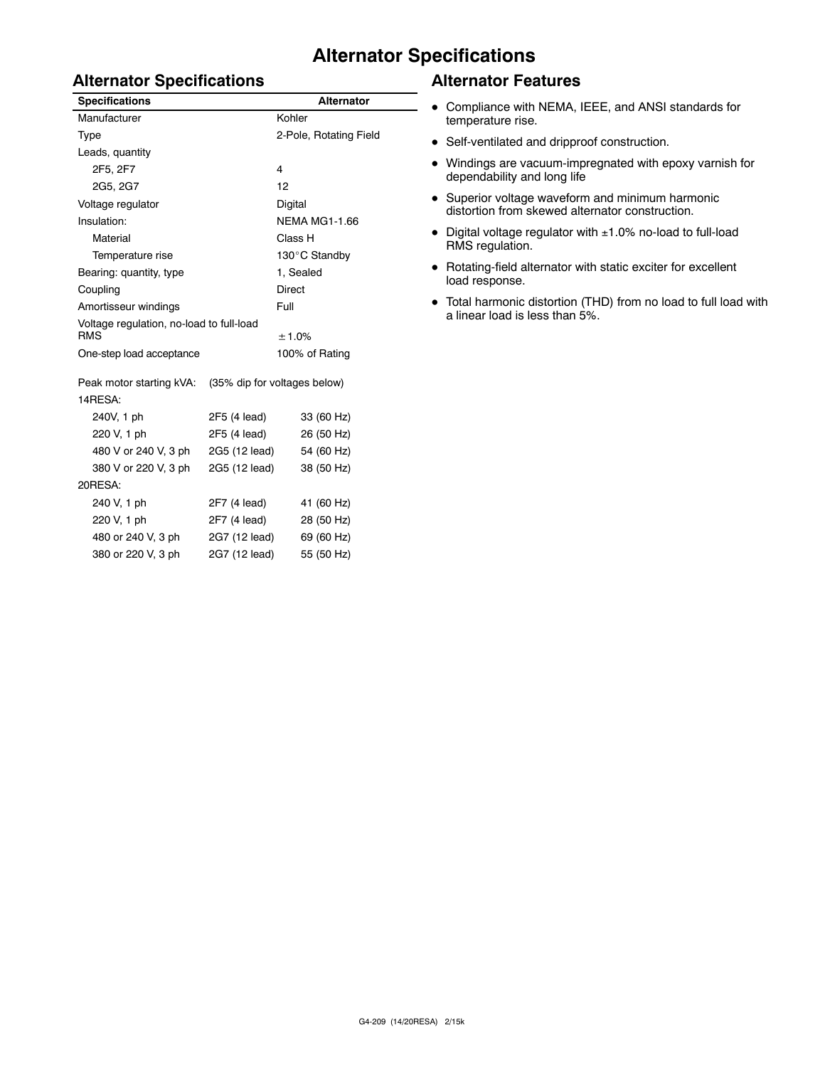# **Alternator Specifications**

# **Alternator Specifications**

| <b>Specifications</b>                                  |               | <b>Alternator</b>            |  |  |
|--------------------------------------------------------|---------------|------------------------------|--|--|
| Manufacturer                                           | Kohler        |                              |  |  |
| Type                                                   |               | 2-Pole, Rotating Field       |  |  |
| Leads, quantity                                        |               |                              |  |  |
| 2F5, 2F7                                               |               | $\overline{\mathbf{4}}$      |  |  |
| 2G5, 2G7                                               |               | 12                           |  |  |
| Voltage regulator                                      |               | Digital                      |  |  |
| Insulation:                                            |               | <b>NEMA MG1-1.66</b>         |  |  |
| Material                                               |               | Class H                      |  |  |
| Temperature rise                                       |               | 130°C Standby                |  |  |
| Bearing: quantity, type                                |               | 1, Sealed                    |  |  |
| Coupling                                               |               | <b>Direct</b>                |  |  |
| Amortisseur windings                                   |               | Full                         |  |  |
| Voltage regulation, no-load to full-load<br><b>RMS</b> |               | ± 1.0%                       |  |  |
| One-step load acceptance                               |               | 100% of Rating               |  |  |
| Peak motor starting kVA:                               |               | (35% dip for voltages below) |  |  |
| 14RESA:                                                |               |                              |  |  |
| 240V, 1 ph                                             | 2F5 (4 lead)  | 33 (60 Hz)                   |  |  |
| 220 V, 1 ph                                            | 2F5 (4 lead)  | 26 (50 Hz)                   |  |  |
| 480 V or 240 V, 3 ph                                   | 2G5 (12 lead) | 54 (60 Hz)                   |  |  |
| 380 V or 220 V, 3 ph                                   | 2G5 (12 lead) | 38 (50 Hz)                   |  |  |
| 20RESA:                                                |               |                              |  |  |
| 240 V, 1 ph                                            | 2F7 (4 lead)  | 41 (60 Hz)                   |  |  |
| 220 V, 1 ph                                            | 2F7 (4 lead)  | 28 (50 Hz)                   |  |  |
| 480 or 240 V, 3 ph                                     | 2G7 (12 lead) | 69 (60 Hz)                   |  |  |
| 380 or 220 V, 3 ph                                     | 2G7 (12 lead) | 55 (50 Hz)                   |  |  |

## **Alternator Features**

- Compliance with NEMA, IEEE, and ANSI standards for temperature rise.
- Self-ventilated and dripproof construction.
- $\bullet$  Windings are vacuum-impregnated with epoxy varnish for dependability and long life
- Superior voltage waveform and minimum harmonic distortion from skewed alternator construction.
- $\bullet$  Digital voltage regulator with  $\pm 1.0\%$  no-load to full-load RMS regulation.
- $\bullet$  Rotating-field alternator with static exciter for excellent load response.
- Total harmonic distortion (THD) from no load to full load with a linear load is less than 5%.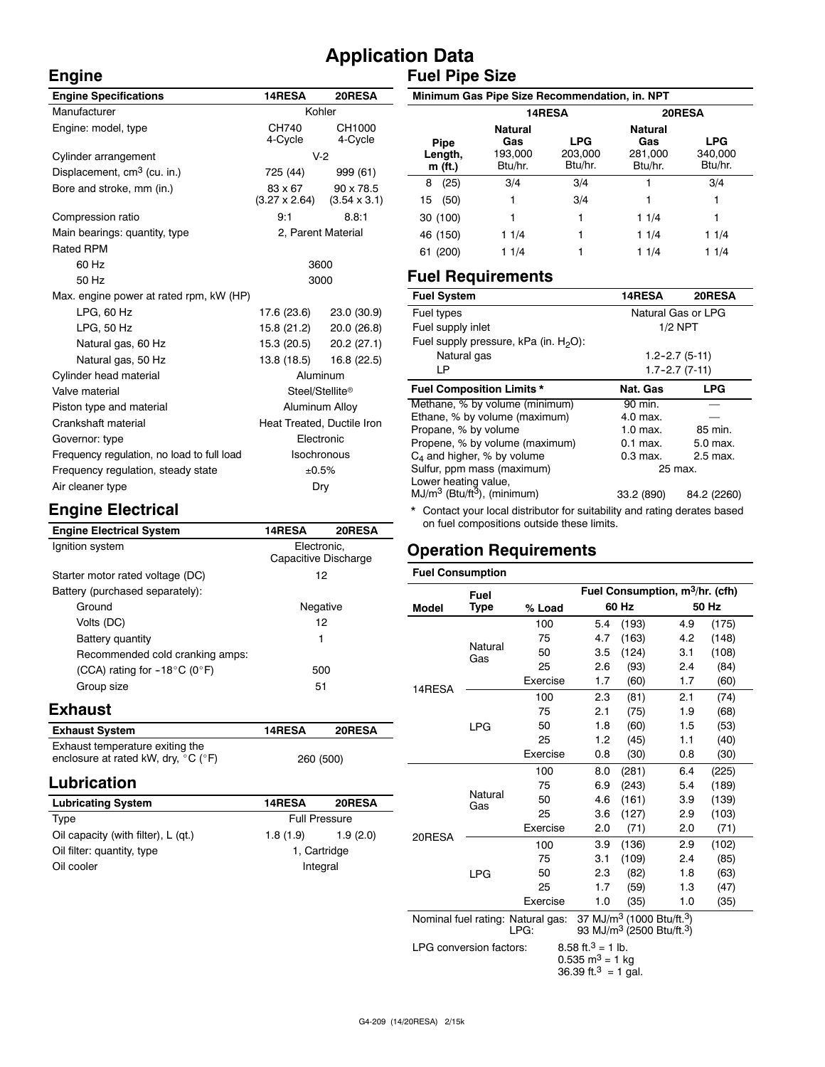# **Application Data Fuel Pipe Size**

| <b>Engine Specifications</b>               | 14RESA<br>20RESA                                    |                   |  |  |
|--------------------------------------------|-----------------------------------------------------|-------------------|--|--|
| Manufacturer                               | Kohler                                              |                   |  |  |
| Engine: model, type                        | CH740<br>4-Cycle                                    | CH1000<br>4-Cycle |  |  |
| Cylinder arrangement                       |                                                     | $V-2$             |  |  |
| Displacement, cm <sup>3</sup> (cu. in.)    | 725 (44)                                            | 999 (61)          |  |  |
| Bore and stroke, mm (in.)                  | 83 x 67<br>$(3.27 \times 2.64)$ $(3.54 \times 3.1)$ | $90 \times 78.5$  |  |  |
| Compression ratio                          | 9:1                                                 | 8.8:1             |  |  |
| Main bearings: quantity, type              | 2, Parent Material                                  |                   |  |  |
| <b>Rated RPM</b>                           |                                                     |                   |  |  |
| 60 Hz                                      | 3600                                                |                   |  |  |
| 50 Hz                                      | 3000                                                |                   |  |  |
| Max, engine power at rated rpm, kW (HP)    |                                                     |                   |  |  |
| $LPG$ , 60 Hz                              | 17.6 (23.6) 23.0 (30.9)                             |                   |  |  |
| LPG. 50 Hz                                 | 15.8 (21.2) 20.0 (26.8)                             |                   |  |  |
| Natural gas, 60 Hz                         | 15.3 (20.5) 20.2 (27.1)                             |                   |  |  |
| Natural gas, 50 Hz                         | 13.8 (18.5)                                         | 16.8(22.5)        |  |  |
| Cylinder head material                     | Aluminum                                            |                   |  |  |
| Valve material                             | Steel/Stellite®                                     |                   |  |  |
| Piston type and material                   | Aluminum Alloy                                      |                   |  |  |
| Crankshaft material                        | Heat Treated, Ductile Iron                          |                   |  |  |
| Governor: type                             | Electronic                                          |                   |  |  |
| Frequency regulation, no load to full load | <b>Isochronous</b>                                  |                   |  |  |
| Frequency regulation, steady state         | ±0.5%                                               |                   |  |  |
| Air cleaner type                           | Dry                                                 |                   |  |  |

#### **Minimum Gas Pipe Size Recommendation, in. NPT Pipe Length, m (ft.) 14RESA 20RESA Natural Gas** 193,000 Btu/hr. **LPG** 203,000 Btu/hr. **Natural Gas** 281,000 Btu/hr. **LPG** 340,000 Btu/hr. 8 (25) 3/4 3/4 1 3/4 15 (50) 1 3/4 1 1 30 (100) 1 1 1 1/4 1 46 (150) 1 1/4 1 1 1/4 1 1/4 61 (200) 1 1/4 1 1 1/4 1 1/4

## **Fuel Requirements**

| <b>Fuel System</b>                        | 14RESA                 | 20RESA              |  |
|-------------------------------------------|------------------------|---------------------|--|
| Fuel types                                | Natural Gas or LPG     |                     |  |
| Fuel supply inlet                         | $1/2$ NPT              |                     |  |
| Fuel supply pressure, kPa (in. $H_2O$ ):  |                        |                     |  |
| Natural gas                               |                        | $1.2 - 2.7(5 - 11)$ |  |
| LP                                        |                        | $1.7 - 2.7(7 - 11)$ |  |
| <b>Fuel Composition Limits *</b>          | Nat. Gas               | <b>LPG</b>          |  |
| Methane, % by volume (minimum)<br>90 min. |                        |                     |  |
| Ethane, % by volume (maximum)             | 4.0 max.               |                     |  |
| Propane, % by volume                      | $1.0$ max.             | 85 min.             |  |
| Propene, % by volume (maximum)            | $0.1$ max.             | 5.0 max.            |  |
| $C_4$ and higher, % by volume             | $0.3$ max.<br>2.5 max. |                     |  |
| Sulfur, ppm mass (maximum)                |                        | 25 max.             |  |
| Lower heating value,                      |                        |                     |  |
| $MJ/m3$ (Btu/ft <sup>3</sup> ), (minimum) | 33.2 (890)             | 84.2 (2260)         |  |

\* Contact your local distributor for suitability and rating derates based on fuel compositions outside these limits.

# **Operation Requirements**

# **Engine Electrical**

| <b>Engine Electrical System</b>        | 14RESA               | 20RESA |  |
|----------------------------------------|----------------------|--------|--|
| Ignition system                        | Electronic,          |        |  |
|                                        | Capacitive Discharge |        |  |
| Starter motor rated voltage (DC)       | 12                   |        |  |
| Battery (purchased separately):        |                      |        |  |
| Ground                                 | Negative             |        |  |
| Volts (DC)                             | 12                   |        |  |
| Battery quantity                       | 1                    |        |  |
| Recommended cold cranking amps:        |                      |        |  |
| (CCA) rating for $-18^{\circ}$ C (0°F) | 500                  |        |  |
| Group size                             | 51                   |        |  |
|                                        |                      |        |  |

## **Exhaust**

**Engine**

| <b>Exhaust System</b>                                    | <b>14RESA</b> | <b>20RESA</b> |
|----------------------------------------------------------|---------------|---------------|
| Exhaust temperature exiting the                          |               |               |
| enclosure at rated kW, dry, $^{\circ}$ C ( $^{\circ}$ F) | 260 (500)     |               |

# **Lubrication**

| <b>Lubricating System</b>           | 14RESA               | 20RESA   |  |  |
|-------------------------------------|----------------------|----------|--|--|
| Type                                | <b>Full Pressure</b> |          |  |  |
| Oil capacity (with filter), L (qt.) | 1.8(1.9)             | 1.9(2.0) |  |  |
| Oil filter: quantity, type          | 1, Cartridge         |          |  |  |
| Oil cooler                          | Integral             |          |  |  |

| <b>Fuel Consumption</b> |                |                                           |                                                   |                                                   |     |       |  |
|-------------------------|----------------|-------------------------------------------|---------------------------------------------------|---------------------------------------------------|-----|-------|--|
|                         | Fuel           |                                           | Fuel Consumption, m <sup>3</sup> /hr. (cfh)       |                                                   |     |       |  |
| <b>Model</b>            | <b>Type</b>    | % Load                                    |                                                   | 60 Hz                                             |     | 50 Hz |  |
|                         |                | 100                                       | 5.4                                               | (193)                                             | 4.9 | (175) |  |
|                         |                | 75                                        | 4.7                                               | (163)                                             | 4.2 | (148) |  |
|                         | Natural<br>Gas | 50                                        | 3.5                                               | (124)                                             | 3.1 | (108) |  |
|                         |                | 25                                        | 2.6                                               | (93)                                              | 2.4 | (84)  |  |
| 14RESA                  |                | Exercise                                  | 1.7                                               | (60)                                              | 1.7 | (60)  |  |
|                         |                | 100                                       | 2.3                                               | (81)                                              | 2.1 | (74)  |  |
|                         |                | 75                                        | 2.1                                               | (75)                                              | 1.9 | (68)  |  |
|                         | <b>LPG</b>     | 50                                        | 1.8                                               | (60)                                              | 1.5 | (53)  |  |
|                         |                | 25                                        | 1.2                                               | (45)                                              | 1.1 | (40)  |  |
|                         |                | Exercise                                  | 0.8                                               | (30)                                              | 0.8 | (30)  |  |
|                         | Natural<br>Gas | 100                                       | 8.0                                               | (281)                                             | 6.4 | (225) |  |
|                         |                | 75                                        | 6.9                                               | (243)                                             | 5.4 | (189) |  |
|                         |                | 50                                        | 4.6                                               | (161)                                             | 3.9 | (139) |  |
|                         |                | 25                                        | 3.6                                               | (127)                                             | 2.9 | (103) |  |
| 20RESA                  |                | Exercise                                  | 2.0                                               | (71)                                              | 2.0 | (71)  |  |
|                         |                | 100                                       | 3.9                                               | (136)                                             | 2.9 | (102) |  |
|                         |                | 75                                        | 3.1                                               | (109)                                             | 2.4 | (85)  |  |
|                         | <b>LPG</b>     | 50                                        | 2.3                                               | (82)                                              | 1.8 | (63)  |  |
|                         |                | 25                                        | 1.7                                               | (59)                                              | 1.3 | (47)  |  |
|                         |                | Exercise                                  | 1.0                                               | (35)                                              | 1.0 | (35)  |  |
|                         |                | Nominal fuel rating: Natural gas:<br>LPG: | 37 MJ/m <sup>3</sup> (1000 Btu/ft. <sup>3</sup> ) | 93 MJ/m <sup>3</sup> (2500 Btu/ft. <sup>3</sup> ) |     |       |  |
| LPG conversion factors: |                |                                           | 8.58 ft. <sup>3</sup> = 1 lb.                     |                                                   |     |       |  |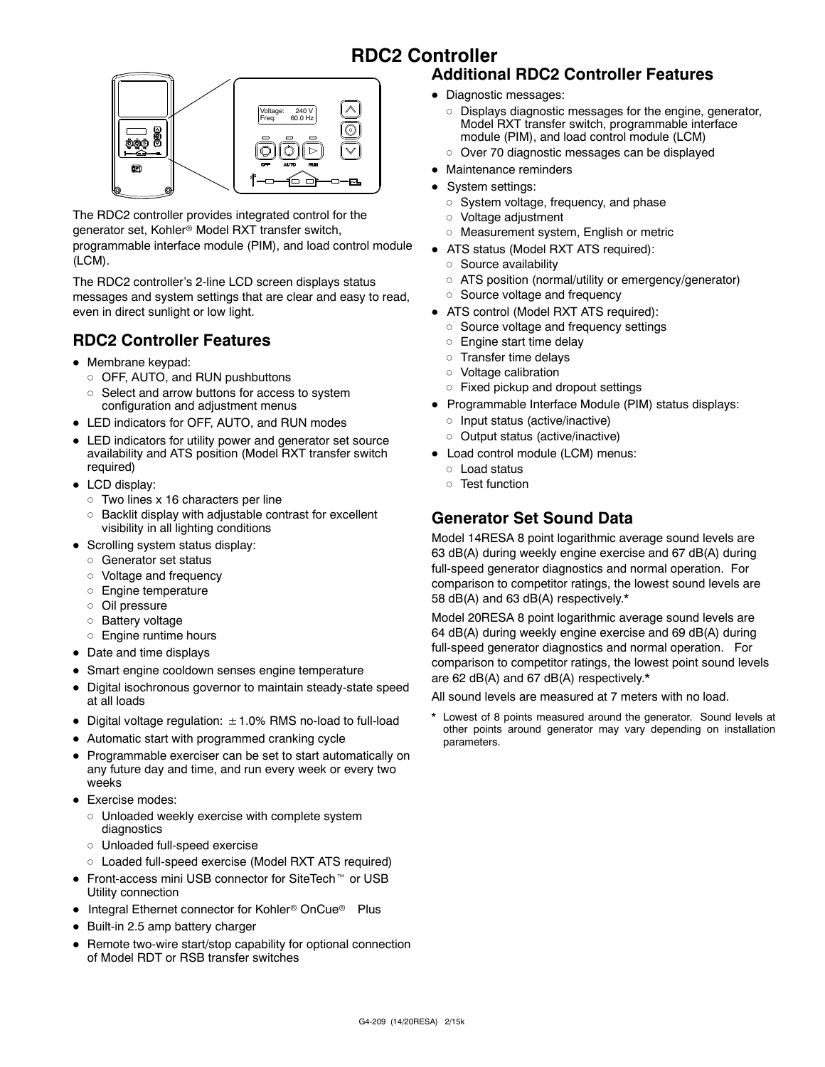# **RDC2 Controller**



The RDC2 controller provides integrated control for the generator set, Kohler<sup>®</sup> Model RXT transfer switch, programmable interface module (PIM), and load control module (LCM).

The RDC2 controller's 2-line LCD screen displays status messages and system settings that are clear and easy to read, even in direct sunlight or low light.

# **RDC2 Controller Features**

- $\bullet$  Membrane keypad:
	- o OFF, AUTO, and RUN pushbuttons
	- $\circ$  Select and arrow buttons for access to system configuration and adjustment menus
- LED indicators for OFF, AUTO, and RUN modes
- LED indicators for utility power and generator set source availability and ATS position (Model RXT transfer switch required)
- $\bullet$  LCD display:
	- $\circ$  Two lines x 16 characters per line
	- $\circ$  Backlit display with adjustable contrast for excellent visibility in all lighting conditions
- Scrolling system status display:
	- o Generator set status
	- o Voltage and frequency
	- d Engine temperature
	- o Oil pressure
	- o Battery voltage
	- o Engine runtime hours
- Date and time displays
- Smart engine cooldown senses engine temperature
- Digital isochronous governor to maintain steady-state speed at all loads
- Digital voltage regulation:  $\pm$  1.0% RMS no-load to full-load
- Automatic start with programmed cranking cycle
- Programmable exerciser can be set to start automatically on any future day and time, and run every week or every two weeks
- Exercise modes:
	- $\circ$  Unloaded weekly exercise with complete system diagnostics
	- o Unloaded full-speed exercise
	- o Loaded full-speed exercise (Model RXT ATS required)
- $\bullet$  Front-access mini USB connector for SiteTech<sup> $M$ </sup> or USB Utility connection
- Integral Ethernet connector for Kohler<sup>®</sup> OnCue<sup>®</sup> Plus
- $\bullet$  Built-in 2.5 amp battery charger
- Remote two-wire start/stop capability for optional connection of Model RDT or RSB transfer switches

# **Additional RDC2 Controller Features**

- Diagnostic messages:
	- o Displays diagnostic messages for the engine, generator, Model RXT transfer switch, programmable interface module (PIM), and load control module (LCM)
	- $\circ$  Over 70 diagnostic messages can be displayed
- Maintenance reminders
- System settings:
	- $\circ$  System voltage, frequency, and phase
	- o Voltage adjustment
	- o Measurement system, English or metric
- ATS status (Model RXT ATS required):
	- o Source availability
	- o ATS position (normal/utility or emergency/generator)
	- o Source voltage and frequency
- ATS control (Model RXT ATS required):
	- o Source voltage and frequency settings
	- $\circ$  Engine start time delay
	- $\circ$  Transfer time delays
	- $\circ$  Voltage calibration
	- $\circ$  Fixed pickup and dropout settings
- Programmable Interface Module (PIM) status displays:
	- $\circ$  Input status (active/inactive)
	- o Output status (active/inactive)
- Load control module (LCM) menus:
	- o Load status
	- o Test function

# **Generator Set Sound Data**

Model 14RESA 8 point logarithmic average sound levels are 63 dB(A) during weekly engine exercise and 67 dB(A) during full-speed generator diagnostics and normal operation. For comparison to competitor ratings, the lowest sound levels are 58 dB(A) and 63 dB(A) respectively.\*

Model 20RESA 8 point logarithmic average sound levels are 64 dB(A) during weekly engine exercise and 69 dB(A) during full-speed generator diagnostics and normal operation. For comparison to competitor ratings, the lowest point sound levels are 62 dB(A) and 67 dB(A) respectively.\*

All sound levels are measured at 7 meters with no load.

\* Lowest of 8 points measured around the generator. Sound levels at other points around generator may vary depending on installation parameters.